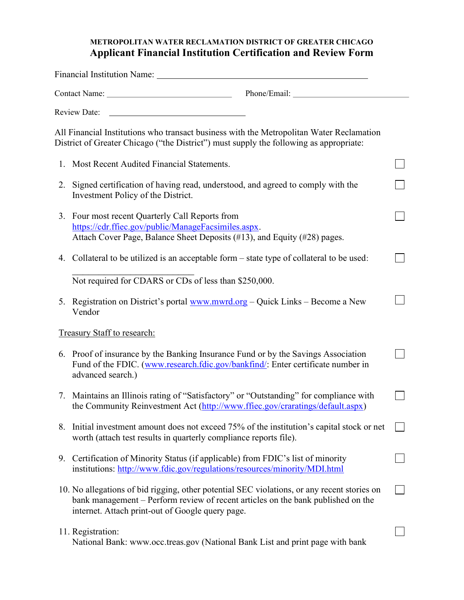## METROPOLITAN WATER RECLAMATION DISTRICT OF GREATER CHICAGO Applicant Financial Institution Certification and Review Form

|    | <b>Review Date:</b>                                                                                                                                                                                                                 |  |  |
|----|-------------------------------------------------------------------------------------------------------------------------------------------------------------------------------------------------------------------------------------|--|--|
|    | All Financial Institutions who transact business with the Metropolitan Water Reclamation<br>District of Greater Chicago ("the District") must supply the following as appropriate:                                                  |  |  |
|    | 1. Most Recent Audited Financial Statements.                                                                                                                                                                                        |  |  |
| 2. | Signed certification of having read, understood, and agreed to comply with the<br>Investment Policy of the District.                                                                                                                |  |  |
|    | 3. Four most recent Quarterly Call Reports from<br>https://cdr.ffiec.gov/public/ManageFacsimiles.aspx.<br>Attach Cover Page, Balance Sheet Deposits (#13), and Equity (#28) pages.                                                  |  |  |
|    | 4. Collateral to be utilized is an acceptable form – state type of collateral to be used:                                                                                                                                           |  |  |
|    | Not required for CDARS or CDs of less than \$250,000.                                                                                                                                                                               |  |  |
|    | 5. Registration on District's portal www.mwrd.org – Quick Links – Become a New<br>Vendor                                                                                                                                            |  |  |
|    | Treasury Staff to research:                                                                                                                                                                                                         |  |  |
|    | 6. Proof of insurance by the Banking Insurance Fund or by the Savings Association<br>Fund of the FDIC. (www.research.fdic.gov/bankfind/: Enter certificate number in<br>advanced search.)                                           |  |  |
|    | 7. Maintains an Illinois rating of "Satisfactory" or "Outstanding" for compliance with<br>the Community Reinvestment Act (http://www.ffiec.gov/craratings/default.aspx)                                                             |  |  |
| 8. | Initial investment amount does not exceed 75% of the institution's capital stock or net<br>worth (attach test results in quarterly compliance reports file).                                                                        |  |  |
| 9. | Certification of Minority Status (if applicable) from FDIC's list of minority<br>institutions: http://www.fdic.gov/regulations/resources/minority/MDI.html                                                                          |  |  |
|    | 10. No allegations of bid rigging, other potential SEC violations, or any recent stories on<br>bank management – Perform review of recent articles on the bank published on the<br>internet. Attach print-out of Google query page. |  |  |
|    | 11. Registration:<br>National Bank: www.occ.treas.gov (National Bank List and print page with bank                                                                                                                                  |  |  |